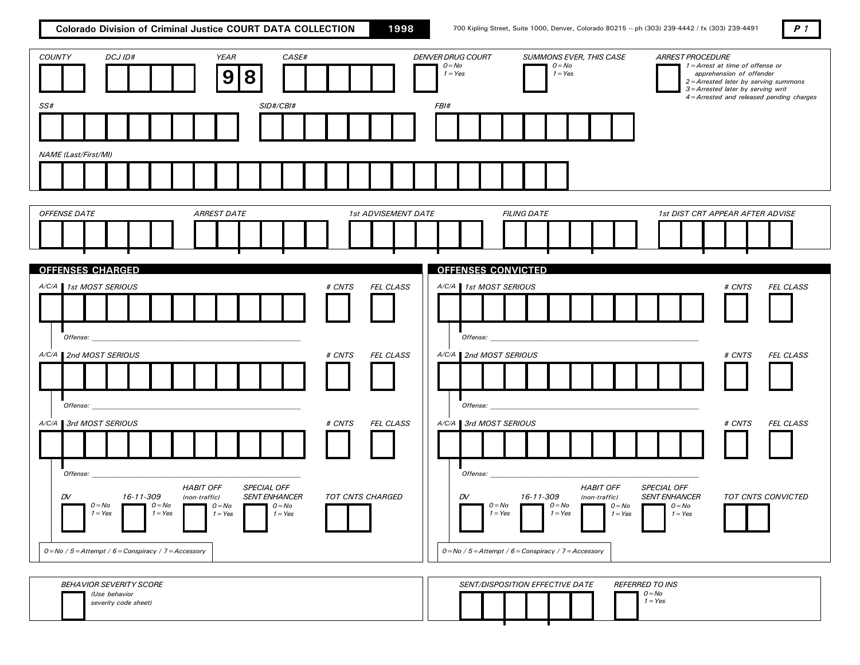Colorado Division of Criminal Justice COURT DATA COLLECTION 1998 700 Kipling Street, Suite 1000, Denver, Colorado 80215 -- ph (303) 239-4442 / fx (303) 239-4491

| ۰, |
|----|
|----|

| DCJ ID#<br><b>YEAR</b><br>CASE#<br><b>COUNTY</b><br>9<br>8<br>SS#<br>SID#/CBI#                                                                                                                                                                                         |                                                   | <b>DENVER DRUG COURT</b><br>SUMMONS EVER, THIS CASE<br>$O = No$<br>$O = No$<br>$1 = Yes$<br>$1 = Yes$<br>FBI#                                                                                        | <b>ARREST PROCEDURE</b><br>1 = Arrest at time of offense or<br>apprehension of offender<br>2=Arrested later by serving summons<br>3=Arrested later by serving writ<br>4=Arrested and released pending charges |
|------------------------------------------------------------------------------------------------------------------------------------------------------------------------------------------------------------------------------------------------------------------------|---------------------------------------------------|------------------------------------------------------------------------------------------------------------------------------------------------------------------------------------------------------|---------------------------------------------------------------------------------------------------------------------------------------------------------------------------------------------------------------|
| <b>NAME</b> (Last/First/MI)                                                                                                                                                                                                                                            |                                                   |                                                                                                                                                                                                      |                                                                                                                                                                                                               |
| <b>OFFENSE DATE</b><br><b>ARREST DATE</b>                                                                                                                                                                                                                              | 1st ADVISEMENT DATE                               | <b>FILING DATE</b>                                                                                                                                                                                   | 1st DIST CRT APPEAR AFTER ADVISE                                                                                                                                                                              |
| <b>OFFENSES CHARGED</b><br>A/C/A 1st MOST SERIOUS<br><i>Offense:</i><br>A/C/A 2nd MOST SERIOUS                                                                                                                                                                         | # CNTS<br>FEL CLASS<br># CNTS<br><b>FEL CLASS</b> | <b>OFFENSES CONVICTED</b><br>A/C/A 1st MOST SERIOUS<br>Offense:<br>A/C/A 2nd MOST SERIOUS                                                                                                            | # CNTS<br>FEL CLASS<br># CNTS<br><b>FEL CLASS</b>                                                                                                                                                             |
| Offense:<br>A/C/A 3rd MOST SERIOUS                                                                                                                                                                                                                                     | # CNTS<br><b>FEL CLASS</b>                        | Offense:<br>A/C/A 3rd MOST SERIOUS                                                                                                                                                                   | # CNTS<br><b>FEL CLASS</b>                                                                                                                                                                                    |
| Offense:<br><b>HABIT OFF</b><br>SPECIAL OFF<br>16-11-309<br>DV<br><b>SENT ENHANCER</b><br>(non-traffic)<br>$O = No$<br>$O = No$<br>$O = No$<br>$O = No$<br>$1 = Yes$<br>$1 = Yes$<br>$1 = Yes$<br>$1 = Yes$<br>$0 = No / 5 = Attempt / 6 = Conspiracy / 7 = Accessory$ | <b>TOT CNTS CHARGED</b>                           | Offense:<br><b>HABIT OFF</b><br>16-11-309<br>DV<br>(non-traffic)<br>$O=NO$<br>$O = No$<br>$O = No$<br>$1 = Yes$<br>$1 = Yes$<br>$1 = Yes$<br>$0 = No / 5 = Attempt / 6 = Conspiracy / 7 = Accessory$ | SPECIAL OFF<br><b>TOT CNTS CONVICTED</b><br><b>SENT ENHANCER</b><br>$O = No$<br>$1 = Yes$                                                                                                                     |
| <b>BEHAVIOR SEVERITY SCORE</b><br>(Use behavior<br>severity code sheet)                                                                                                                                                                                                |                                                   | <b>REFERRED TO INS</b><br>SENT/DISPOSITION EFFECTIVE DATE<br>$O = No$                                                                                                                                | $1 = Yes$                                                                                                                                                                                                     |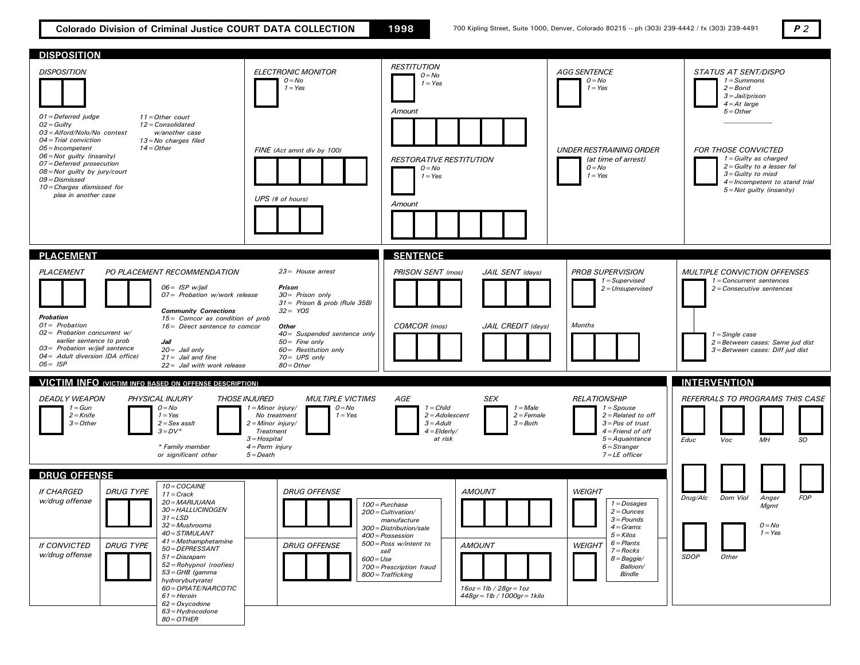Colorado Division of Criminal Justice COURT DATA COLLECTION 1998 700 Kipling Street, Suite 1000, Denver, Colorado 80215 -- ph (303) 239-4442 / fx (303) 239-4491  $P$  2

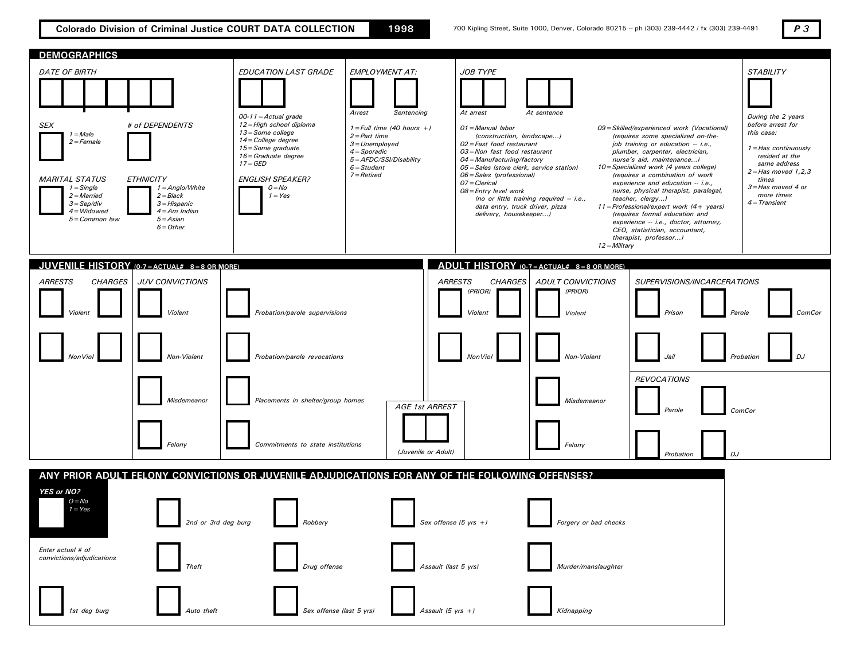